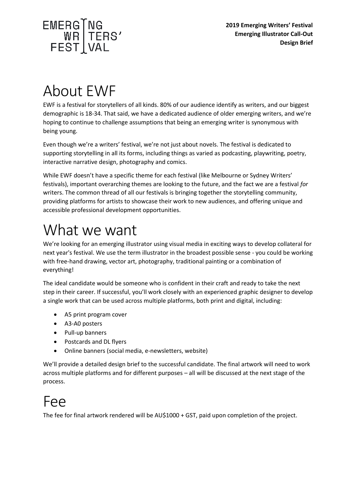

## About EWF

EWF is a festival for storytellers of all kinds. 80% of our audience identify as writers, and our biggest demographic is 18-34. That said, we have a dedicated audience of older emerging writers, and we're hoping to continue to challenge assumptions that being an emerging writer is synonymous with being young.

Even though we're a writers' festival, we're not just about novels. The festival is dedicated to supporting storytelling in all its forms, including things as varied as podcasting, playwriting, poetry, interactive narrative design, photography and comics.

While EWF doesn't have a specific theme for each festival (like Melbourne or Sydney Writers' festivals), important overarching themes are looking to the future, and the fact we are a festival *for* writers. The common thread of all our festivals is bringing together the storytelling community, providing platforms for artists to showcase their work to new audiences, and offering unique and accessible professional development opportunities.

## What we want

We're looking for an emerging illustrator using visual media in exciting ways to develop collateral for next year's festival. We use the term illustrator in the broadest possible sense - you could be working with free-hand drawing, vector art, photography, traditional painting or a combination of everything!

The ideal candidate would be someone who is confident in their craft and ready to take the next step in their career. If successful, you'll work closely with an experienced graphic designer to develop a single work that can be used across multiple platforms, both print and digital, including:

- A5 print program cover
- A3-A0 posters
- Pull-up banners
- Postcards and DL flyers
- Online banners (social media, e-newsletters, website)

We'll provide a detailed design brief to the successful candidate. The final artwork will need to work across multiple platforms and for different purposes – all will be discussed at the next stage of the process.

## Fee

The fee for final artwork rendered will be AU\$1000 + GST, paid upon completion of the project.